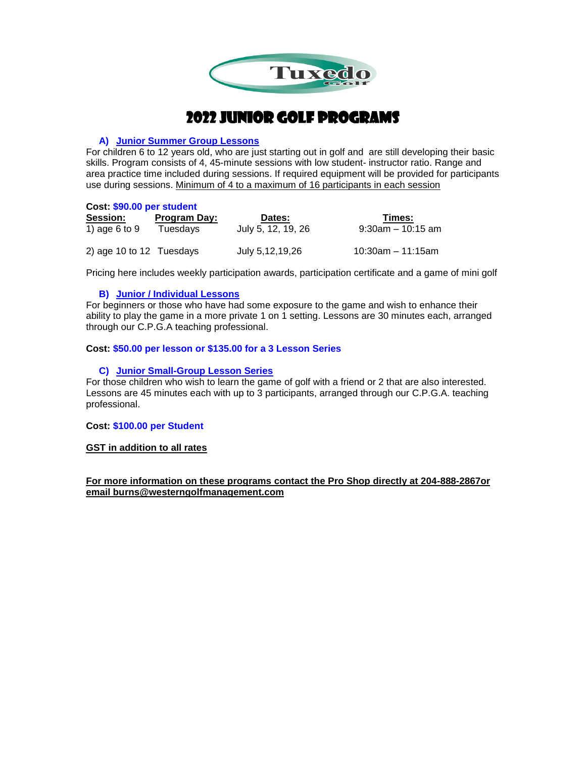

# 2022 Junior Golf Programs

#### **A) Junior Summer Group Lessons**

For children 6 to 12 years old, who are just starting out in golf and are still developing their basic skills. Program consists of 4, 45-minute sessions with low student- instructor ratio. Range and area practice time included during sessions. If required equipment will be provided for participants use during sessions. Minimum of 4 to a maximum of 16 participants in each session

#### **Cost: \$90.00 per student**

| <b>Session:</b>          | <b>Program Day:</b> | Dates:             | Times:                |
|--------------------------|---------------------|--------------------|-----------------------|
| 1) age 6 to 9            | Tuesdays            | July 5, 12, 19, 26 | $9:30$ am $-10:15$ am |
| 2) age 10 to 12 Tuesdays |                     | July 5,12,19,26    | $10:30$ am – 11:15am  |

Pricing here includes weekly participation awards, participation certificate and a game of mini golf

## **B) Junior / Individual Lessons**

For beginners or those who have had some exposure to the game and wish to enhance their ability to play the game in a more private 1 on 1 setting. Lessons are 30 minutes each, arranged through our C.P.G.A teaching professional.

#### **Cost: \$50.00 per lesson or \$135.00 for a 3 Lesson Series**

## **C) Junior Small-Group Lesson Series**

For those children who wish to learn the game of golf with a friend or 2 that are also interested. Lessons are 45 minutes each with up to 3 participants, arranged through our C.P.G.A. teaching professional.

#### **Cost: \$100.00 per Student**

#### **GST in addition to all rates**

**For more information on these programs contact the Pro Shop directly at 204-888-2867or email burns@westerngolfmanagement.com**